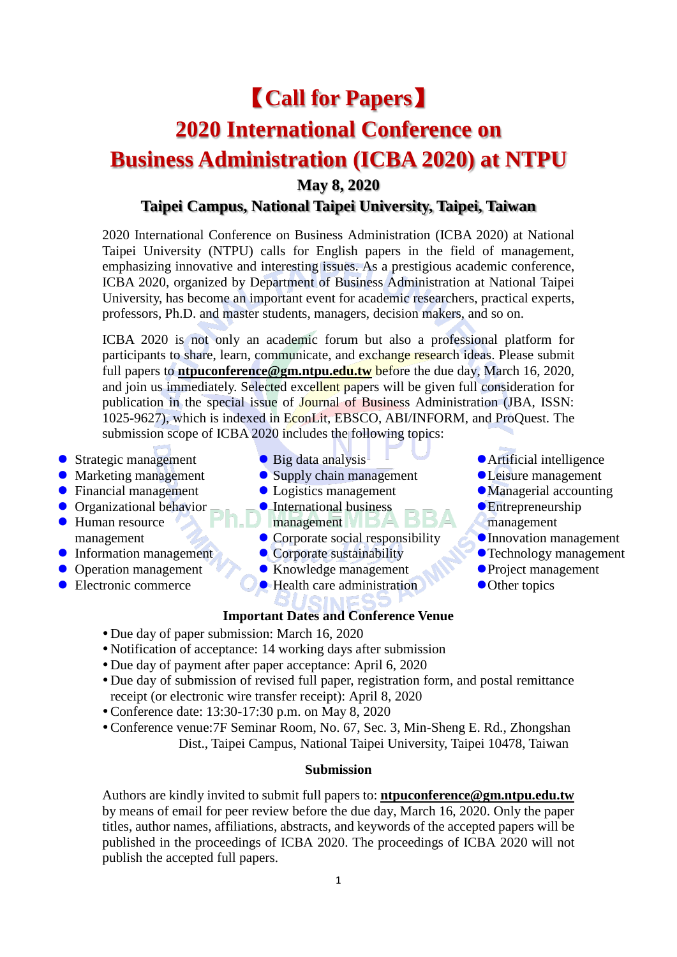# 【**Call for Papers**】

# **2020 International Conference on**

# **Business Administration (ICBA 2020) at NTPU**

**May 8, 2020**

## **Taipei Campus, National Taipei University, Taipei, Taiwan**

2020 International Conference on Business Administration (ICBA 2020) at National Taipei University (NTPU) calls for English papers in the field of management, emphasizing innovative and interesting issues. As a prestigious academic conference, ICBA 2020, organized by Department of Business Administration at National Taipei University, has become an important event for academic researchers, practical experts, professors, Ph.D. and master students, managers, decision makers, and so on.

ICBA 2020 is not only an academic forum but also a professional platform for participants to share, learn, communicate, and exchange research ideas. Please submit full papers to **[ntpuconference@gm.ntpu.edu.tw](mailto:ntpuconference@gm.ntpu.edu.tw)** before the due day, March 16, 2020, and join us immediately. Selected excellent papers will be given full consideration for publication in the special issue of Journal of Business Administration (JBA, ISSN: 1025-9627), which is indexed in EconLit, EBSCO, ABI/INFORM, and ProQuest. The submission scope of ICBA 2020 includes the following topics:

- Strategic management
- Marketing management
- Financial management
- **O** Organizational behavior
- Human resource management
- **•** Information management
- Operation management
- Electronic commerce
- Big data analysis
- Supply chain management
- Logistics management
- **•** International business
- management
- Corporate social responsibility
- Corporate sustainability
- Knowledge management
- Health care administration

### **Important Dates and Conference Venue**

- Due day of paper submission: March 16, 2020
- Notification of acceptance: 14 working days after submission
- Due day of payment after paper acceptance: April 6, 2020
- Due day of submission of revised full paper, registration form, and postal remittance receipt (or electronic wire transfer receipt): April 8, 2020
- Conference date: 13:30-17:30 p.m. on May 8, 2020
- Conference venue:7F Seminar Room, No. 67, Sec. 3, Min-Sheng E. Rd., Zhongshan Dist., Taipei Campus, National Taipei University, Taipei 10478, Taiwan

#### **Submission**

Authors are kindly invited to submit full papers to: **[ntpuconference@gm.ntpu.edu.tw](mailto:ntpuconference@gm.ntpu.edu.tw)** by means of email for peer review before the due day, March 16, 2020. Only the paper titles, author names, affiliations, abstracts, and keywords of the accepted papers will be published in the proceedings of ICBA 2020. The proceedings of ICBA 2020 will not publish the accepted full papers.

Leisure management Managerial accounting

Artificial intelligence

- **•** Entrepreneurship management
- Innovation management
- Technology management
- Project management
- Other topics